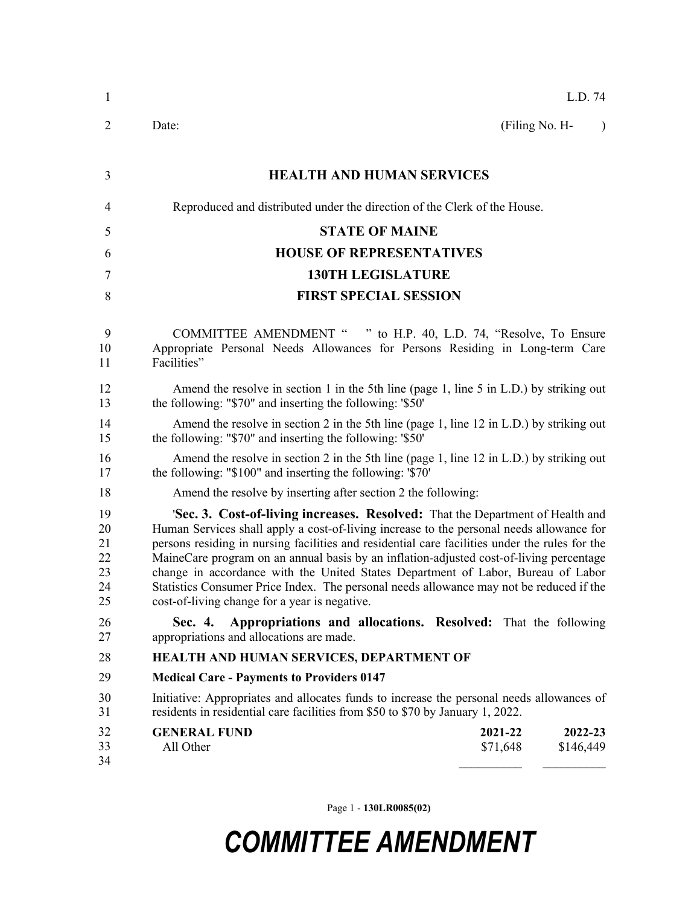| 1                                      | L.D. 74                                                                                                                                                                                                                                                                                                                                                                                                                                                                                                                                                                                                       |  |  |
|----------------------------------------|---------------------------------------------------------------------------------------------------------------------------------------------------------------------------------------------------------------------------------------------------------------------------------------------------------------------------------------------------------------------------------------------------------------------------------------------------------------------------------------------------------------------------------------------------------------------------------------------------------------|--|--|
| $\overline{2}$                         | (Filing No. H-<br>Date:<br>$\lambda$                                                                                                                                                                                                                                                                                                                                                                                                                                                                                                                                                                          |  |  |
| 3                                      | <b>HEALTH AND HUMAN SERVICES</b>                                                                                                                                                                                                                                                                                                                                                                                                                                                                                                                                                                              |  |  |
| $\overline{4}$                         | Reproduced and distributed under the direction of the Clerk of the House.                                                                                                                                                                                                                                                                                                                                                                                                                                                                                                                                     |  |  |
| 5                                      | <b>STATE OF MAINE</b>                                                                                                                                                                                                                                                                                                                                                                                                                                                                                                                                                                                         |  |  |
| 6                                      | <b>HOUSE OF REPRESENTATIVES</b>                                                                                                                                                                                                                                                                                                                                                                                                                                                                                                                                                                               |  |  |
| $\tau$                                 | <b>130TH LEGISLATURE</b>                                                                                                                                                                                                                                                                                                                                                                                                                                                                                                                                                                                      |  |  |
| 8                                      | <b>FIRST SPECIAL SESSION</b>                                                                                                                                                                                                                                                                                                                                                                                                                                                                                                                                                                                  |  |  |
| 9<br>10<br>11                          | COMMITTEE AMENDMENT " " to H.P. 40, L.D. 74, "Resolve, To Ensure<br>Appropriate Personal Needs Allowances for Persons Residing in Long-term Care<br>Facilities"                                                                                                                                                                                                                                                                                                                                                                                                                                               |  |  |
| 12<br>13                               | Amend the resolve in section 1 in the 5th line (page 1, line 5 in L.D.) by striking out<br>the following: "\$70" and inserting the following: '\$50'                                                                                                                                                                                                                                                                                                                                                                                                                                                          |  |  |
| 14<br>15                               | Amend the resolve in section 2 in the 5th line (page 1, line 12 in L.D.) by striking out<br>the following: "\$70" and inserting the following: '\$50'                                                                                                                                                                                                                                                                                                                                                                                                                                                         |  |  |
| 16<br>17                               | Amend the resolve in section 2 in the 5th line (page 1, line 12 in L.D.) by striking out<br>the following: "\$100" and inserting the following: '\$70'                                                                                                                                                                                                                                                                                                                                                                                                                                                        |  |  |
| 18                                     | Amend the resolve by inserting after section 2 the following:                                                                                                                                                                                                                                                                                                                                                                                                                                                                                                                                                 |  |  |
| 19<br>20<br>21<br>22<br>23<br>24<br>25 | <b>Sec. 3. Cost-of-living increases. Resolved:</b> That the Department of Health and<br>Human Services shall apply a cost-of-living increase to the personal needs allowance for<br>persons residing in nursing facilities and residential care facilities under the rules for the<br>MaineCare program on an annual basis by an inflation-adjusted cost-of-living percentage<br>change in accordance with the United States Department of Labor, Bureau of Labor<br>Statistics Consumer Price Index. The personal needs allowance may not be reduced if the<br>cost-of-living change for a year is negative. |  |  |
| 26<br>27                               | Appropriations and allocations. Resolved: That the following<br>Sec. 4.<br>appropriations and allocations are made.                                                                                                                                                                                                                                                                                                                                                                                                                                                                                           |  |  |
| 28                                     | HEALTH AND HUMAN SERVICES, DEPARTMENT OF                                                                                                                                                                                                                                                                                                                                                                                                                                                                                                                                                                      |  |  |
| 29                                     | <b>Medical Care - Payments to Providers 0147</b>                                                                                                                                                                                                                                                                                                                                                                                                                                                                                                                                                              |  |  |
| 30<br>31                               | Initiative: Appropriates and allocates funds to increase the personal needs allowances of<br>residents in residential care facilities from \$50 to \$70 by January 1, 2022.                                                                                                                                                                                                                                                                                                                                                                                                                                   |  |  |
| 32<br>33<br>34                         | <b>GENERAL FUND</b><br>2021-22<br>2022-23<br>All Other<br>\$71,648<br>\$146,449                                                                                                                                                                                                                                                                                                                                                                                                                                                                                                                               |  |  |

Page 1 - **130LR0085(02)**

## *COMMITTEE AMENDMENT*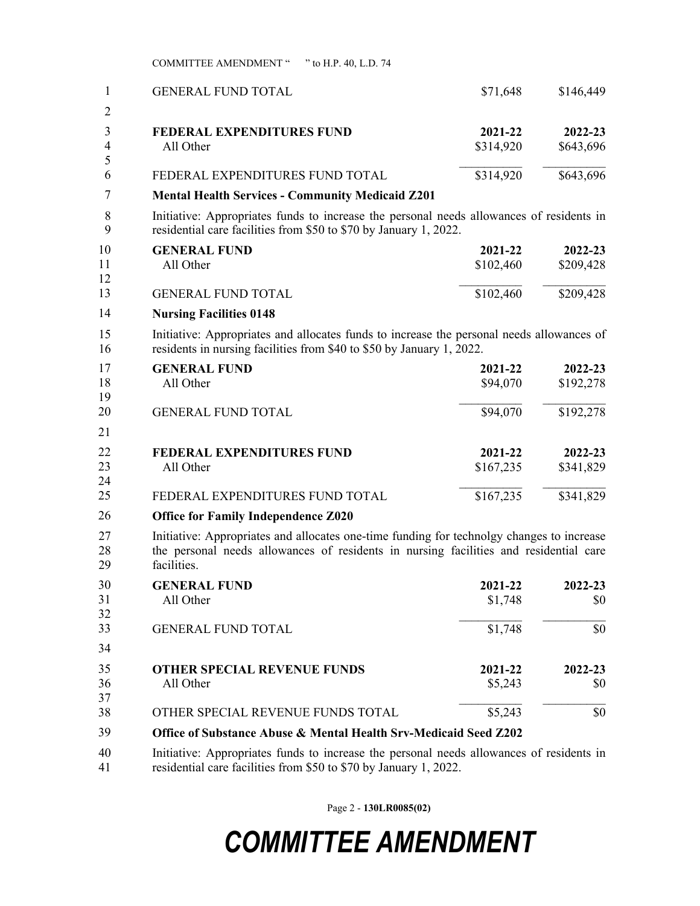COMMITTEE AMENDMENT " " to H.P. 40, L.D. 74

| 1<br>2         | <b>GENERAL FUND TOTAL</b>                                                                                                                                                                         | \$71,648             | \$146,449            |  |  |
|----------------|---------------------------------------------------------------------------------------------------------------------------------------------------------------------------------------------------|----------------------|----------------------|--|--|
| 3<br>4<br>5    | <b>FEDERAL EXPENDITURES FUND</b><br>All Other                                                                                                                                                     | 2021-22<br>\$314,920 | 2022-23<br>\$643,696 |  |  |
| 6              | FEDERAL EXPENDITURES FUND TOTAL                                                                                                                                                                   | \$314,920            | \$643,696            |  |  |
| 7              | <b>Mental Health Services - Community Medicaid Z201</b>                                                                                                                                           |                      |                      |  |  |
| 8<br>9         | Initiative: Appropriates funds to increase the personal needs allowances of residents in<br>residential care facilities from \$50 to \$70 by January 1, 2022.                                     |                      |                      |  |  |
| 10             | <b>GENERAL FUND</b>                                                                                                                                                                               | 2021-22              | 2022-23              |  |  |
| 11             | All Other                                                                                                                                                                                         | \$102,460            | \$209,428            |  |  |
| 12<br>13       | <b>GENERAL FUND TOTAL</b>                                                                                                                                                                         | \$102,460            | \$209,428            |  |  |
| 14             | <b>Nursing Facilities 0148</b>                                                                                                                                                                    |                      |                      |  |  |
| 15<br>16       | Initiative: Appropriates and allocates funds to increase the personal needs allowances of<br>residents in nursing facilities from \$40 to \$50 by January 1, 2022.                                |                      |                      |  |  |
| 17             | <b>GENERAL FUND</b>                                                                                                                                                                               | 2021-22              | 2022-23              |  |  |
| 18             | All Other                                                                                                                                                                                         | \$94,070             | \$192,278            |  |  |
| 19<br>20       | <b>GENERAL FUND TOTAL</b>                                                                                                                                                                         | \$94,070             | \$192,278            |  |  |
| 21             |                                                                                                                                                                                                   |                      |                      |  |  |
| 22             | <b>FEDERAL EXPENDITURES FUND</b>                                                                                                                                                                  | 2021-22              | 2022-23              |  |  |
| 23<br>24       | All Other                                                                                                                                                                                         | \$167,235            | \$341,829            |  |  |
| 25             | FEDERAL EXPENDITURES FUND TOTAL                                                                                                                                                                   | \$167,235            | \$341,829            |  |  |
| 26             | <b>Office for Family Independence Z020</b>                                                                                                                                                        |                      |                      |  |  |
| 27<br>28<br>29 | Initiative: Appropriates and allocates one-time funding for technolgy changes to increase<br>the personal needs allowances of residents in nursing facilities and residential care<br>facilities. |                      |                      |  |  |
| 30             | <b>GENERAL FUND</b>                                                                                                                                                                               | 2021-22              | 2022-23              |  |  |
| 31<br>32       | All Other                                                                                                                                                                                         | \$1,748              | \$0                  |  |  |
| 33             | <b>GENERAL FUND TOTAL</b>                                                                                                                                                                         | \$1,748              | \$0                  |  |  |
| 34             |                                                                                                                                                                                                   |                      |                      |  |  |
| 35<br>36<br>37 | <b>OTHER SPECIAL REVENUE FUNDS</b><br>All Other                                                                                                                                                   | 2021-22<br>\$5,243   | 2022-23<br>\$0       |  |  |
| 38             | OTHER SPECIAL REVENUE FUNDS TOTAL                                                                                                                                                                 | \$5,243              | \$0                  |  |  |
| 39             | Office of Substance Abuse & Mental Health Srv-Medicaid Seed Z202                                                                                                                                  |                      |                      |  |  |
| 40<br>41       | Initiative: Appropriates funds to increase the personal needs allowances of residents in<br>residential care facilities from \$50 to \$70 by January 1, 2022.                                     |                      |                      |  |  |

Page 2 - **130LR0085(02)**

## *COMMITTEE AMENDMENT*